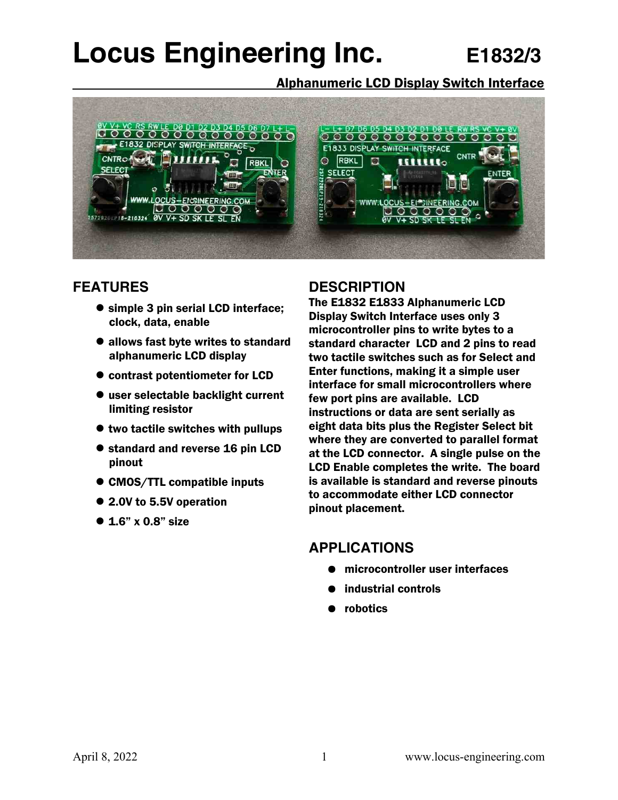# **Locus Engineering Inc. E1832/3**

Alphanumeric LCD Display Switch Interface



# **FEATURES**

- simple 3 pin serial LCD interface; clock, data, enable
- allows fast byte writes to standard alphanumeric LCD display
- contrast potentiometer for LCD
- user selectable backlight current limiting resistor
- $\bullet$  two tactile switches with pullups
- standard and reverse 16 pin LCD pinout
- CMOS/TTL compatible inputs
- 2.0V to 5.5V operation
- $\bullet$  1.6" x 0.8" size

#### **DESCRIPTION**

The E1832 E1833 Alphanumeric LCD Display Switch Interface uses only 3 microcontroller pins to write bytes to a standard character LCD and 2 pins to read two tactile switches such as for Select and Enter functions, making it a simple user interface for small microcontrollers where few port pins are available. LCD instructions or data are sent serially as eight data bits plus the Register Select bit where they are converted to parallel format at the LCD connector. A single pulse on the LCD Enable completes the write. The board is available is standard and reverse pinouts to accommodate either LCD connector pinout placement.

# **APPLICATIONS**

- microcontroller user interfaces
- industrial controls
- robotics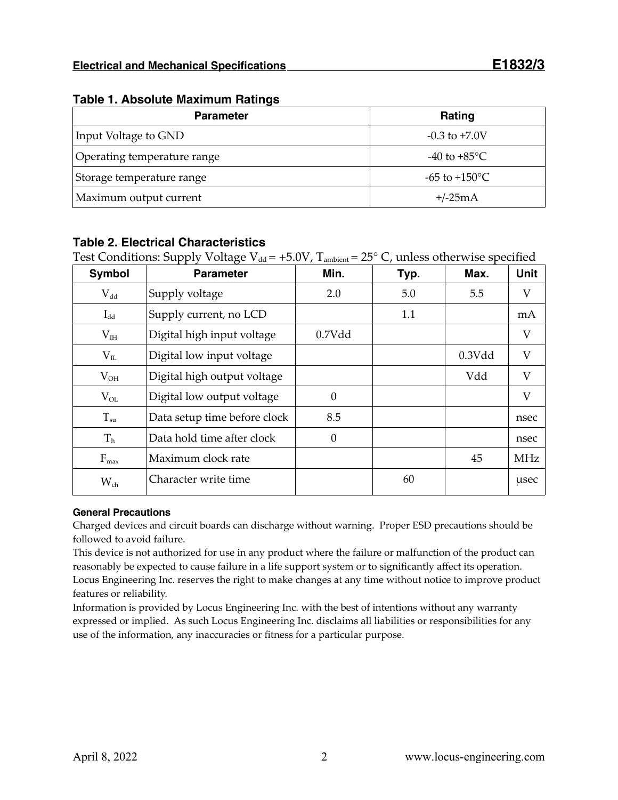| <b>Parameter</b>            | Rating                  |
|-----------------------------|-------------------------|
| Input Voltage to GND        | $-0.3$ to $+7.0V$       |
| Operating temperature range | -40 to +85 $^{\circ}$ C |
| Storage temperature range   | -65 to +150 °C          |
| Maximum output current      | $+/-25mA$               |

#### **Table 1. Absolute Maximum Ratings**

#### **Table 2. Electrical Characteristics**

Test Conditions: Supply Voltage  $V_{dd} = +5.0V$ ,  $T_{ambient} = 25^{\circ}$  C, unless otherwise specified

| Symbol           | <b>Parameter</b>             | Min.     | Typ. | Max.   | <b>Unit</b>               |
|------------------|------------------------------|----------|------|--------|---------------------------|
| $\rm V_{dd}$     | Supply voltage               | 2.0      | 5.0  | 5.5    | V                         |
| $I_{dd}$         | Supply current, no LCD       |          | 1.1  |        | mA                        |
| $\rm V_{IH}$     | Digital high input voltage   | 0.7Vdd   |      |        | V                         |
| $V_{IL}$         | Digital low input voltage    |          |      | 0.3Vdd | $\boldsymbol{\mathrm{V}}$ |
| $V_{OH}$         | Digital high output voltage  |          |      | Vdd    | V                         |
| $V_{OL}$         | Digital low output voltage   |          |      |        | V                         |
| $T_{\rm su}$     | Data setup time before clock | 8.5      |      |        | nsec                      |
| T <sub>h</sub>   | Data hold time after clock   | $\Omega$ |      |        | nsec                      |
| $F_{\text{max}}$ | Maximum clock rate           |          |      | 45     | <b>MHz</b>                |
| $W_{ch}$         | Character write time         |          | 60   |        | usec                      |

#### **General Precautions**

Charged devices and circuit boards can discharge without warning. Proper ESD precautions should be followed to avoid failure.

This device is not authorized for use in any product where the failure or malfunction of the product can reasonably be expected to cause failure in a life support system or to significantly affect its operation. Locus Engineering Inc. reserves the right to make changes at any time without notice to improve product features or reliability.

Information is provided by Locus Engineering Inc. with the best of intentions without any warranty expressed or implied. As such Locus Engineering Inc. disclaims all liabilities or responsibilities for any use of the information, any inaccuracies or fitness for a particular purpose.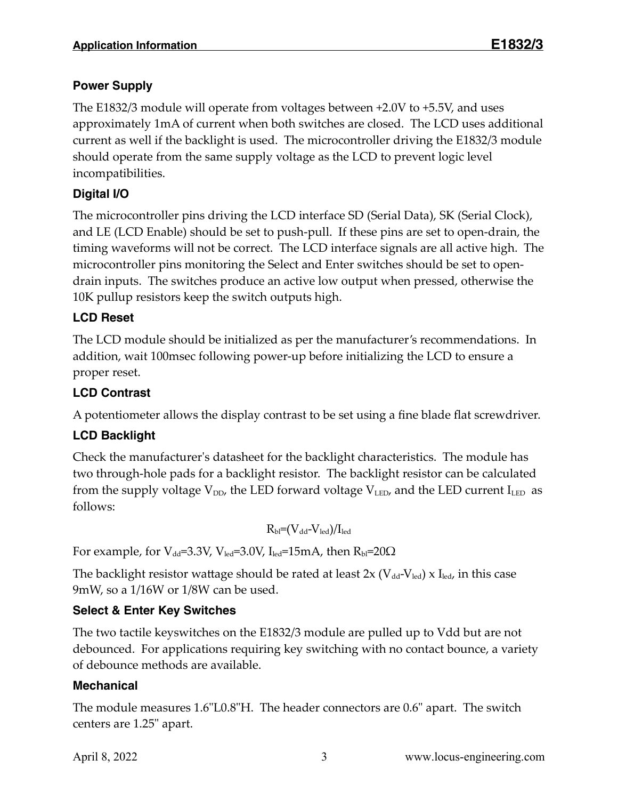## **Power Supply**

The E1832/3 module will operate from voltages between +2.0V to +5.5V, and uses approximately 1mA of current when both switches are closed. The LCD uses additional current as well if the backlight is used. The microcontroller driving the E1832/3 module should operate from the same supply voltage as the LCD to prevent logic level incompatibilities.

### **Digital I/O**

The microcontroller pins driving the LCD interface SD (Serial Data), SK (Serial Clock), and LE (LCD Enable) should be set to push-pull. If these pins are set to open-drain, the timing waveforms will not be correct. The LCD interface signals are all active high. The microcontroller pins monitoring the Select and Enter switches should be set to opendrain inputs. The switches produce an active low output when pressed, otherwise the 10K pullup resistors keep the switch outputs high.

#### **LCD Reset**

The LCD module should be initialized as per the manufacturer's recommendations. In addition, wait 100msec following power-up before initializing the LCD to ensure a proper reset.

### **LCD Contrast**

A potentiometer allows the display contrast to be set using a fine blade flat screwdriver.

#### **LCD Backlight**

Check the manufacturer's datasheet for the backlight characteristics. The module has two through-hole pads for a backlight resistor. The backlight resistor can be calculated from the supply voltage  $V_{DD}$ , the LED forward voltage  $V_{LED}$ , and the LED current  $I_{LED}$  as follows:

$$
R_{\rm bl}\text{=}(V_{\rm dd}\text{-}V_{\rm led})/I_{\rm led}
$$

For example, for  $V_{dd}$ =3.3V,  $V_{led}$ =3.0V,  $I_{led}$ =15mA, then  $R_{bl}$ =20 $\Omega$ 

The backlight resistor wattage should be rated at least  $2x$  (V<sub>dd</sub>-V<sub>led</sub>) x I<sub>led</sub>, in this case 9mW, so a 1/16W or 1/8W can be used.

#### **Select & Enter Key Switches**

The two tactile keyswitches on the E1832/3 module are pulled up to Vdd but are not debounced. For applications requiring key switching with no contact bounce, a variety of debounce methods are available.

#### **Mechanical**

The module measures 1.6"L0.8"H. The header connectors are 0.6" apart. The switch centers are 1.25" apart.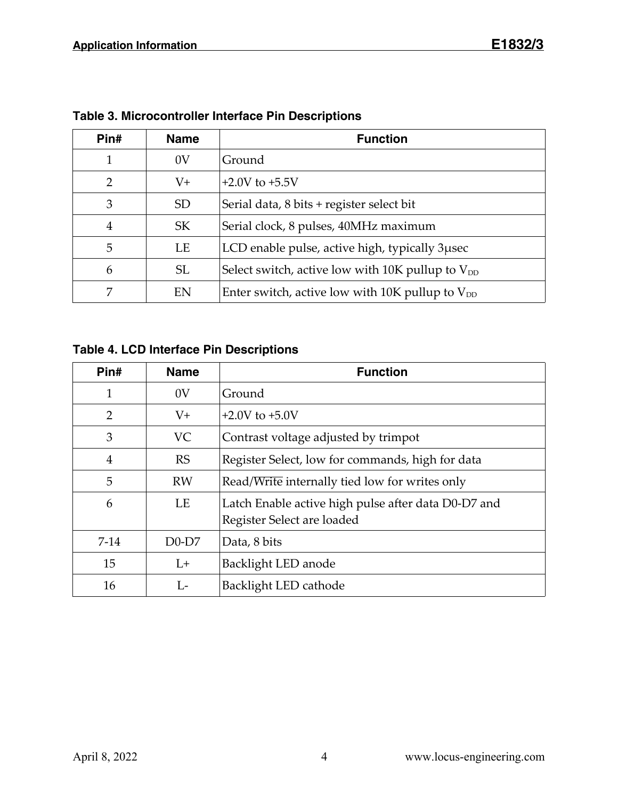| Pin# | <b>Name</b>     | <b>Function</b>                                       |
|------|-----------------|-------------------------------------------------------|
| 1    | 0V              | Ground                                                |
| 2    | $V_{+}$         | $+2.0V$ to $+5.5V$                                    |
| 3    | SD <sub>1</sub> | Serial data, 8 bits + register select bit             |
| 4    | <b>SK</b>       | Serial clock, 8 pulses, 40MHz maximum                 |
| 5    | LE              | LCD enable pulse, active high, typically 3 µsec       |
| 6    | <b>SL</b>       | Select switch, active low with 10K pullup to $V_{DD}$ |
| 7    | EN              | Enter switch, active low with 10K pullup to $V_{DD}$  |

**Table 3. Microcontroller Interface Pin Descriptions**

**Table 4. LCD Interface Pin Descriptions**

| Pin#   | <b>Name</b> | <b>Function</b>                                                                   |
|--------|-------------|-----------------------------------------------------------------------------------|
| 1      | 0V          | Ground                                                                            |
| 2      | $V^+$       | $+2.0V$ to $+5.0V$                                                                |
| 3      | <b>VC</b>   | Contrast voltage adjusted by trimpot                                              |
| 4      | <b>RS</b>   | Register Select, low for commands, high for data                                  |
| 5      | <b>RW</b>   | Read/Write internally tied low for writes only                                    |
| 6      | LE          | Latch Enable active high pulse after data D0-D7 and<br>Register Select are loaded |
| $7-14$ | $D0-D7$     | Data, 8 bits                                                                      |
| 15     | $L+$        | Backlight LED anode                                                               |
| 16     | $L_{\tau}$  | Backlight LED cathode                                                             |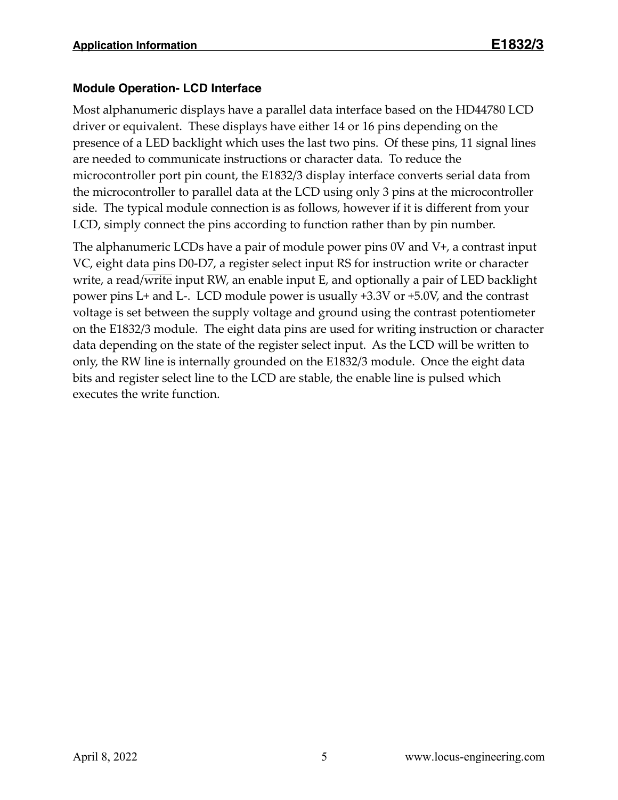#### **Module Operation- LCD Interface**

Most alphanumeric displays have a parallel data interface based on the HD44780 LCD driver or equivalent. These displays have either 14 or 16 pins depending on the presence of a LED backlight which uses the last two pins. Of these pins, 11 signal lines are needed to communicate instructions or character data. To reduce the microcontroller port pin count, the E1832/3 display interface converts serial data from the microcontroller to parallel data at the LCD using only 3 pins at the microcontroller side. The typical module connection is as follows, however if it is different from your LCD, simply connect the pins according to function rather than by pin number.

The alphanumeric LCDs have a pair of module power pins 0V and V+, a contrast input VC, eight data pins D0-D7, a register select input RS for instruction write or character write, a read/write input RW, an enable input E, and optionally a pair of LED backlight power pins L+ and L-. LCD module power is usually +3.3V or +5.0V, and the contrast voltage is set between the supply voltage and ground using the contrast potentiometer on the E1832/3 module. The eight data pins are used for writing instruction or character data depending on the state of the register select input. As the LCD will be written to only, the RW line is internally grounded on the E1832/3 module. Once the eight data bits and register select line to the LCD are stable, the enable line is pulsed which executes the write function.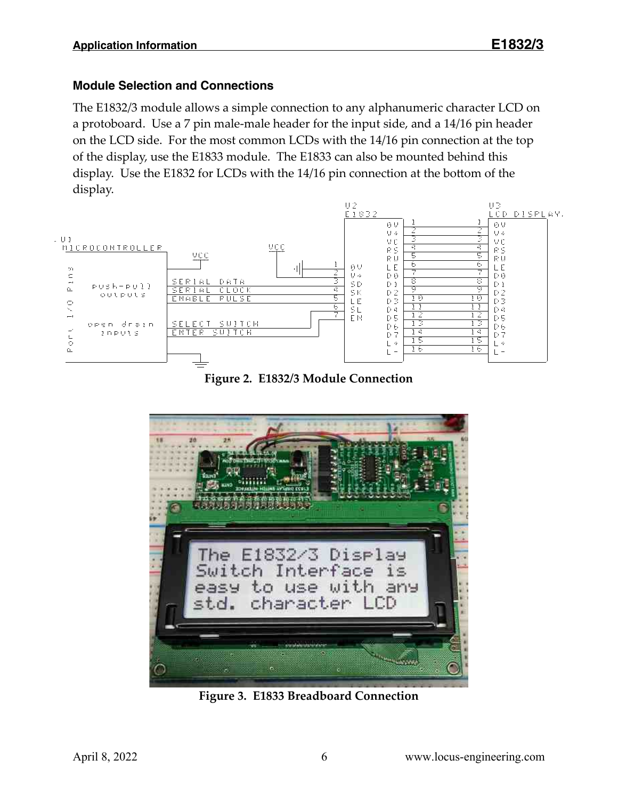#### **Module Selection and Connections**

The E1832/3 module allows a simple connection to any alphanumeric character LCD on a protoboard. Use a 7 pin male-male header for the input side, and a 14/16 pin header on the LCD side. For the most common LCDs with the 14/16 pin connection at the top of the display, use the E1833 module. The E1833 can also be mounted behind this display. Use the E1832 for LCDs with the 14/16 pin connection at the bottom of the display.



**Figure 2. E1832/3 Module Connection**



**Figure 3. E1833 Breadboard Connection**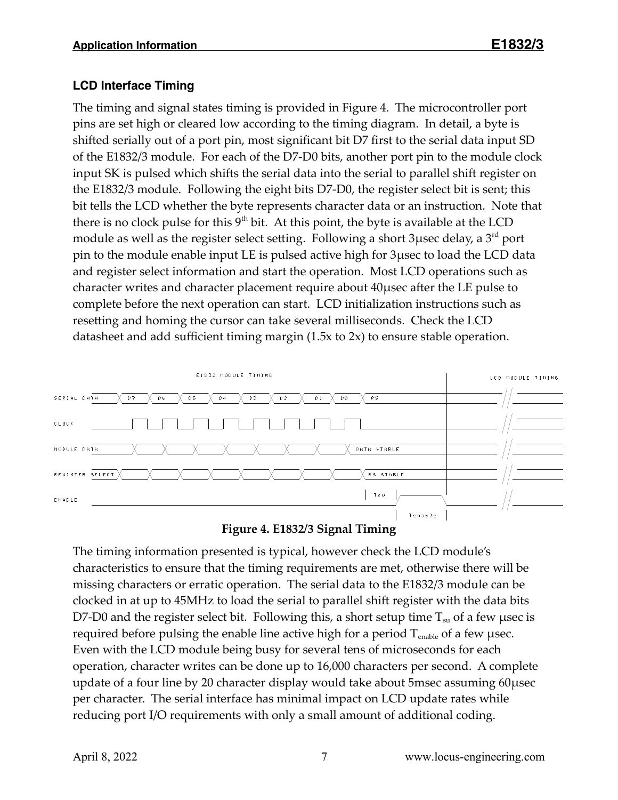#### **LCD Interface Timing**

The timing and signal states timing is provided in Figure 4. The microcontroller port pins are set high or cleared low according to the timing diagram. In detail, a byte is shifted serially out of a port pin, most significant bit D7 first to the serial data input SD of the E1832/3 module. For each of the D7-D0 bits, another port pin to the module clock input SK is pulsed which shifts the serial data into the serial to parallel shift register on the E1832/3 module. Following the eight bits D7-D0, the register select bit is sent; this bit tells the LCD whether the byte represents character data or an instruction. Note that there is no clock pulse for this  $9<sup>th</sup>$  bit. At this point, the byte is available at the LCD module as well as the register select setting. Following a short 3  $\mu$ sec delay, a 3<sup>rd</sup> port pin to the module enable input LE is pulsed active high for 3µsec to load the LCD data and register select information and start the operation. Most LCD operations such as character writes and character placement require about 40µsec after the LE pulse to complete before the next operation can start. LCD initialization instructions such as resetting and homing the cursor can take several milliseconds. Check the LCD datasheet and add sufficient timing margin (1.5x to 2x) to ensure stable operation.



**Figure 4. E1832/3 Signal Timing**

The timing information presented is typical, however check the LCD module's characteristics to ensure that the timing requirements are met, otherwise there will be missing characters or erratic operation. The serial data to the E1832/3 module can be clocked in at up to 45MHz to load the serial to parallel shift register with the data bits D7-D0 and the register select bit. Following this, a short setup time  $T_{su}$  of a few usec is required before pulsing the enable line active high for a period  $T_{\text{enable}}$  of a few usec. Even with the LCD module being busy for several tens of microseconds for each operation, character writes can be done up to 16,000 characters per second. A complete update of a four line by 20 character display would take about 5msec assuming 60µsec per character. The serial interface has minimal impact on LCD update rates while reducing port I/O requirements with only a small amount of additional coding.